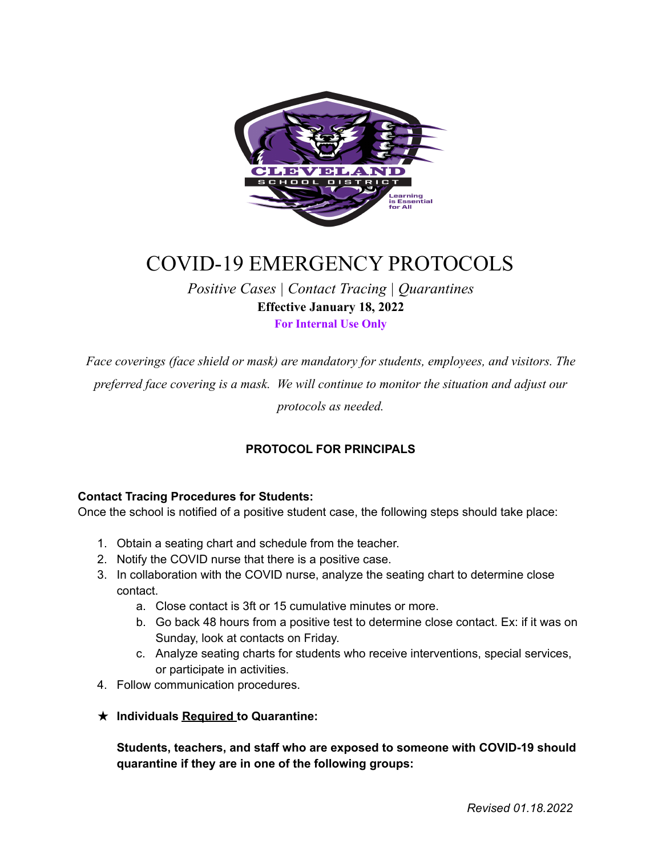

# COVID-19 EMERGENCY PROTOCOLS

# *Positive Cases | Contact Tracing | Quarantines* **Effective January 18, 2022 For Internal Use Only**

*Face coverings (face shield or mask) are mandatory for students, employees, and visitors. The preferred face covering is a mask. We will continue to monitor the situation and adjust our protocols as needed.*

# **PROTOCOL FOR PRINCIPALS**

#### **Contact Tracing Procedures for Students:**

Once the school is notified of a positive student case, the following steps should take place:

- 1. Obtain a seating chart and schedule from the teacher.
- 2. Notify the COVID nurse that there is a positive case.
- 3. In collaboration with the COVID nurse, analyze the seating chart to determine close contact.
	- a. Close contact is 3ft or 15 cumulative minutes or more.
	- b. Go back 48 hours from a positive test to determine close contact. Ex: if it was on Sunday, look at contacts on Friday.
	- c. Analyze seating charts for students who receive interventions, special services, or participate in activities.
- 4. Follow communication procedures.
- ★ **Individuals Required to Quarantine:**

**Students, teachers, and staff who are exposed to someone with COVID-19 should quarantine if they are in one of the following groups:**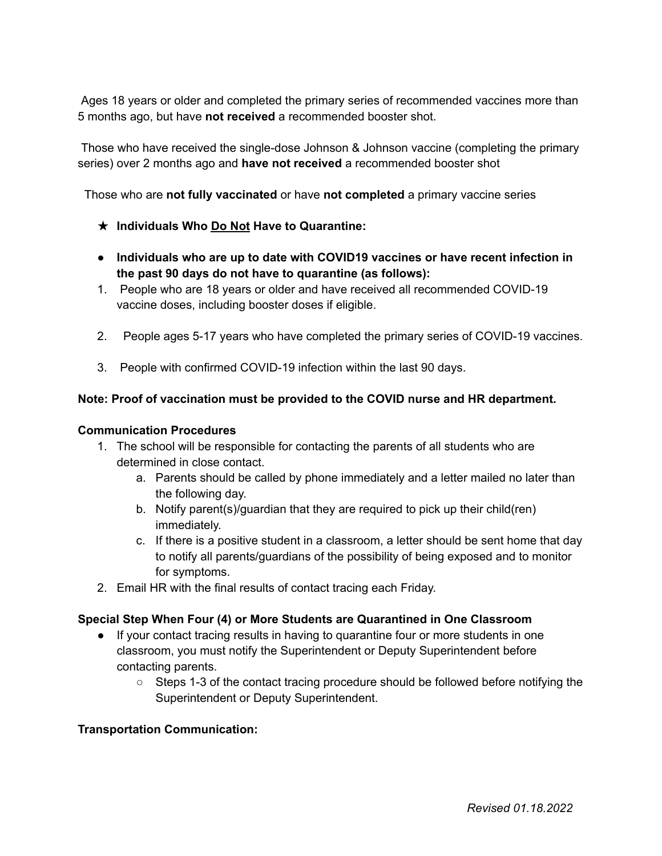Ages 18 years or older and completed the primary series of recommended vaccines more than 5 months ago, but have **not received** a recommended booster shot.

Those who have received the single-dose Johnson & Johnson vaccine (completing the primary series) over 2 months ago and **have not received** a recommended booster shot

Those who are **not fully vaccinated** or have **not completed** a primary vaccine series

#### ★ **Individuals Who Do Not Have to Quarantine:**

- **● Individuals who are up to date with COVID19 vaccines or have recent infection in the past 90 days do not have to quarantine (as follows):**
- 1. People who are 18 years or older and have received all recommended COVID-19 vaccine doses, including booster doses if eligible.
- 2. People ages 5-17 years who have completed the primary series of COVID-19 vaccines.
- 3. People with confirmed COVID-19 infection within the last 90 days.

#### **Note: Proof of vaccination must be provided to the COVID nurse and HR department.**

#### **Communication Procedures**

- 1. The school will be responsible for contacting the parents of all students who are determined in close contact.
	- a. Parents should be called by phone immediately and a letter mailed no later than the following day.
	- b. Notify parent(s)/guardian that they are required to pick up their child(ren) immediately.
	- c. If there is a positive student in a classroom, a letter should be sent home that day to notify all parents/guardians of the possibility of being exposed and to monitor for symptoms.
- 2. Email HR with the final results of contact tracing each Friday.

#### **Special Step When Four (4) or More Students are Quarantined in One Classroom**

- If your contact tracing results in having to quarantine four or more students in one classroom, you must notify the Superintendent or Deputy Superintendent before contacting parents.
	- Steps 1-3 of the contact tracing procedure should be followed before notifying the Superintendent or Deputy Superintendent.

#### **Transportation Communication:**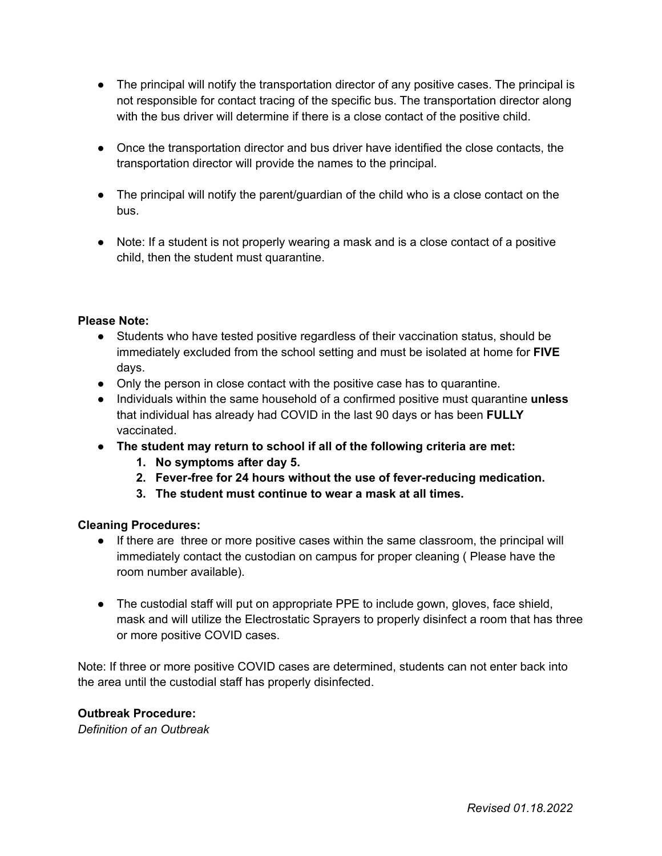- The principal will notify the transportation director of any positive cases. The principal is not responsible for contact tracing of the specific bus. The transportation director along with the bus driver will determine if there is a close contact of the positive child.
- Once the transportation director and bus driver have identified the close contacts, the transportation director will provide the names to the principal.
- The principal will notify the parent/guardian of the child who is a close contact on the bus.
- Note: If a student is not properly wearing a mask and is a close contact of a positive child, then the student must quarantine.

# **Please Note:**

- Students who have tested positive regardless of their vaccination status, should be immediately excluded from the school setting and must be isolated at home for **FIVE** days.
- Only the person in close contact with the positive case has to quarantine.
- Individuals within the same household of a confirmed positive must quarantine **unless** that individual has already had COVID in the last 90 days or has been **FULLY** vaccinated.
- **● The student may return to school if all of the following criteria are met:**
	- **1. No symptoms after day 5.**
	- **2. Fever-free for 24 hours without the use of fever-reducing medication.**
	- **3. The student must continue to wear a mask at all times.**

# **Cleaning Procedures:**

- If there are three or more positive cases within the same classroom, the principal will immediately contact the custodian on campus for proper cleaning ( Please have the room number available).
- The custodial staff will put on appropriate PPE to include gown, gloves, face shield, mask and will utilize the Electrostatic Sprayers to properly disinfect a room that has three or more positive COVID cases.

Note: If three or more positive COVID cases are determined, students can not enter back into the area until the custodial staff has properly disinfected.

# **Outbreak Procedure:**

*Definition of an Outbreak*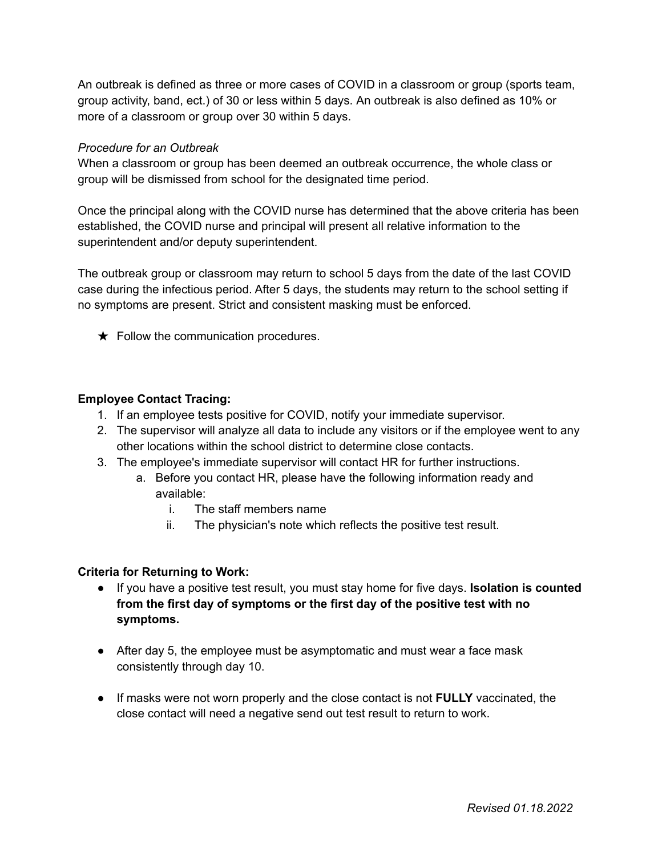An outbreak is defined as three or more cases of COVID in a classroom or group (sports team, group activity, band, ect.) of 30 or less within 5 days. An outbreak is also defined as 10% or more of a classroom or group over 30 within 5 days.

#### *Procedure for an Outbreak*

When a classroom or group has been deemed an outbreak occurrence, the whole class or group will be dismissed from school for the designated time period.

Once the principal along with the COVID nurse has determined that the above criteria has been established, the COVID nurse and principal will present all relative information to the superintendent and/or deputy superintendent.

The outbreak group or classroom may return to school 5 days from the date of the last COVID case during the infectious period. After 5 days, the students may return to the school setting if no symptoms are present. Strict and consistent masking must be enforced.

 $\star$  Follow the communication procedures.

# **Employee Contact Tracing:**

- 1. If an employee tests positive for COVID, notify your immediate supervisor.
- 2. The supervisor will analyze all data to include any visitors or if the employee went to any other locations within the school district to determine close contacts.
- 3. The employee's immediate supervisor will contact HR for further instructions.
	- a. Before you contact HR, please have the following information ready and available:
		- i. The staff members name
		- ii. The physician's note which reflects the positive test result.

#### **Criteria for Returning to Work:**

- If you have a positive test result, you must stay home for five days. **Isolation is counted from the first day of symptoms or the first day of the positive test with no symptoms.**
- After day 5, the employee must be asymptomatic and must wear a face mask consistently through day 10.
- If masks were not worn properly and the close contact is not **FULLY** vaccinated, the close contact will need a negative send out test result to return to work.